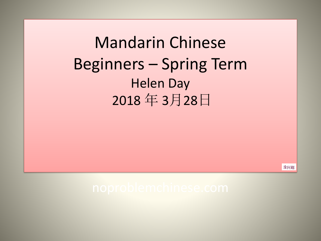Mandarin Chinese Beginners – Spring Term Helen Day 2018 年 3月28日

没问题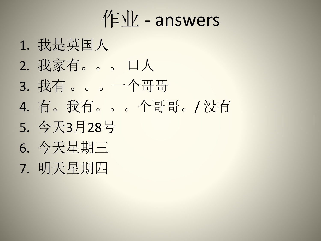作业 - answers

- 1. 我是英国人
- 2. 我家有。。。 口人
- 3. 我有 。。。一个哥哥
- 4. 有。我有。。。个哥哥。/ 没有
- 5. 今天3月28号
- 6. 今天星期三
- 7. 明天星期四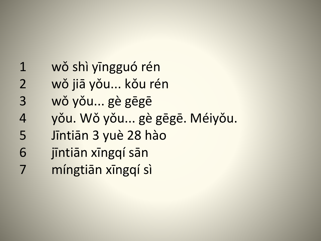1 wǒ shì yīngguó rén wǒ jiā yǒu... kǒu rén wǒ yǒu... gè gēgē yǒu. Wǒ yǒu... gè gēgē. Méiyǒu. Jīntiān 3 yuè 28 hào jīntiān xīngqí sān míngtiān xīngqí sì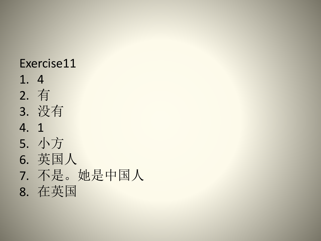## Exercise11

- 1. 4
- 2. 有
- 3. 没有
- 4. 1
- 5. 小方
- 6. 英国人
- 7. 不是。她是中国人
- 8. 在英国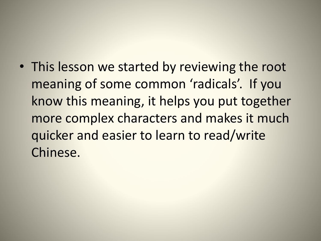• This lesson we started by reviewing the root meaning of some common 'radicals'. If you know this meaning, it helps you put together more complex characters and makes it much quicker and easier to learn to read/write Chinese.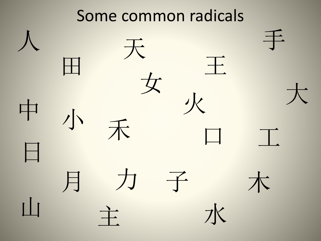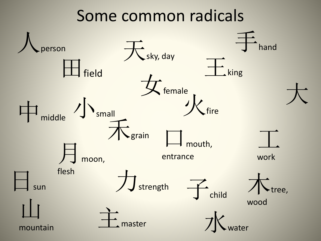## Some common radicals

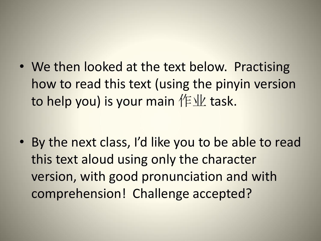• We then looked at the text below. Practising how to read this text (using the pinyin version to help you) is your main  $/F$ 业 task.

• By the next class, I'd like you to be able to read this text aloud using only the character version, with good pronunciation and with comprehension! Challenge accepted?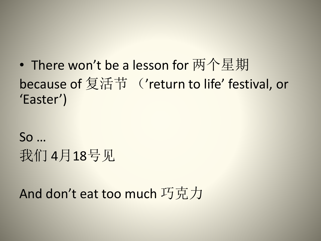• There won't be a lesson for 两个星期 because of 复活节 ('return to life' festival, or 'Easter')

So … 我们 4月18号见

And don't eat too much 巧克力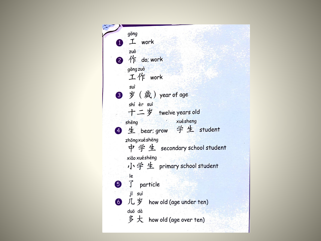| gōng                         |
|------------------------------|
| 工 work                       |
| zuò                          |
| 2 作 do: work                 |
| gōng zuò                     |
| 工作 work                      |
| suì                          |
| 3 岁 (歲) year of age          |
| shí èr sui                   |
| 十二岁 twelve years old         |
| xuésheng<br>shēng            |
| 4 生 bear; grow 学生 student    |
| zhōngxuéshēng                |
| 中学生 secondary school student |
| xiǎo xuéshēng                |
| 小学生 primary school student   |
| e                            |
| 5 了 particle                 |
| jǐ suì                       |
| 6 几岁 how old (age under ten) |
| duō dà                       |
| 多大 how old (age over ten)    |
|                              |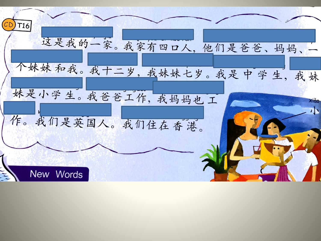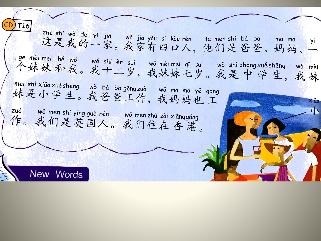